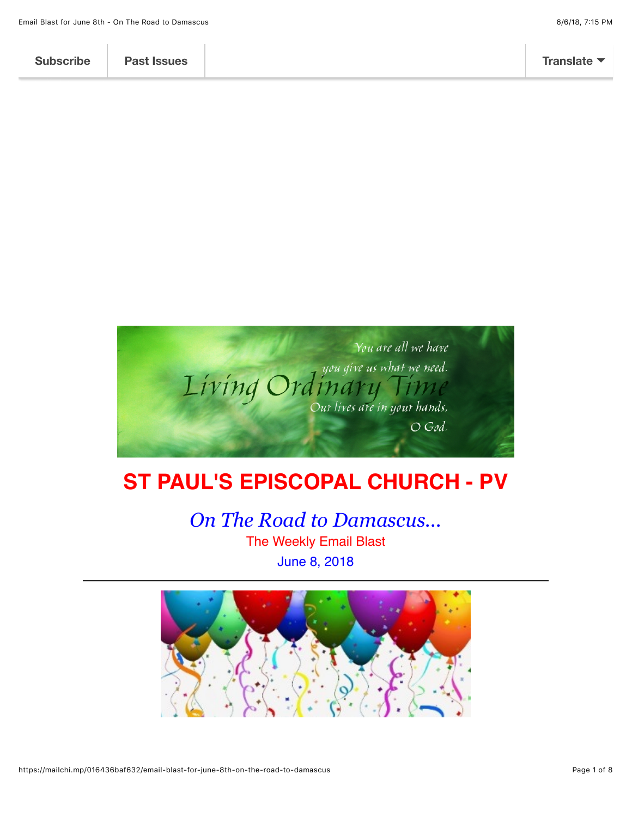

# **ST PAUL'S EPISCOPAL CHURCH - PV**

*On The Road to Damascus...* The Weekly Email Blast June 8, 2018

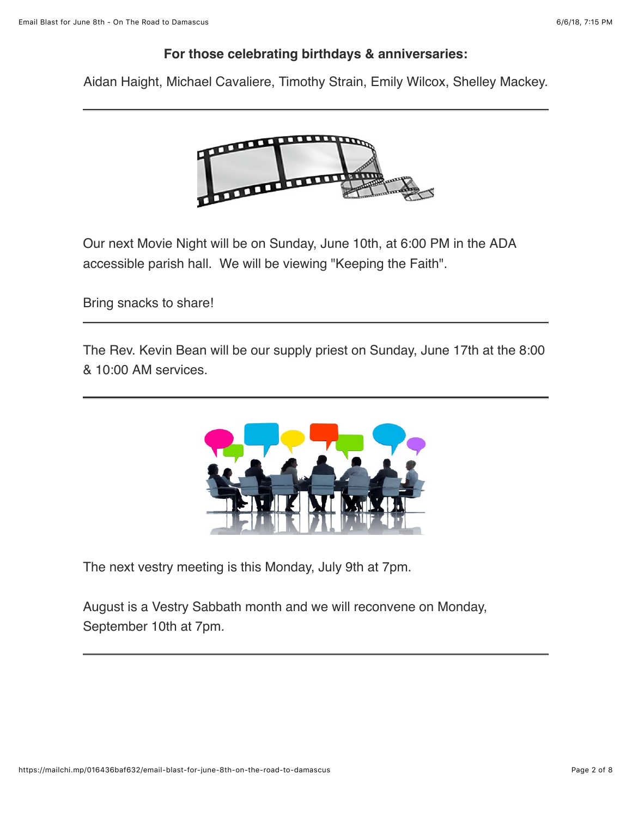#### **For those celebrating birthdays & anniversaries:**

Aidan Haight, Michael Cavaliere, Timothy Strain, Emily Wilcox, Shelley Mackey.



Our next Movie Night will be on Sunday, June 10th, at 6:00 PM in the ADA accessible parish hall. We will be viewing "Keeping the Faith".

Bring snacks to share!

The Rev. Kevin Bean will be our supply priest on Sunday, June 17th at the 8:00 & 10:00 AM services.



The next vestry meeting is this Monday, July 9th at 7pm.

August is a Vestry Sabbath month and we will reconvene on Monday, September 10th at 7pm.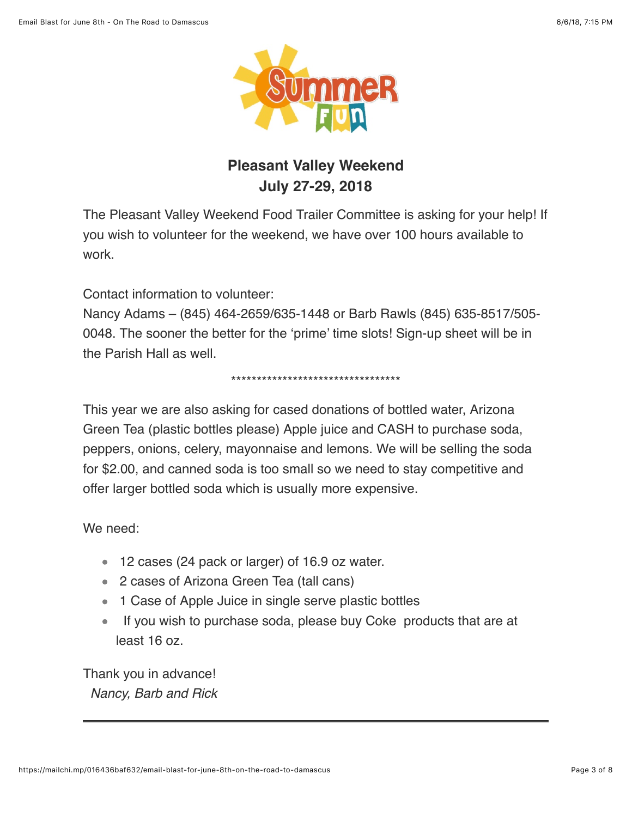

# **Pleasant Valley Weekend July 27-29, 2018**

The Pleasant Valley Weekend Food Trailer Committee is asking for your help! If you wish to volunteer for the weekend, we have over 100 hours available to work.

Contact information to volunteer:

Nancy Adams – (845) 464-2659/635-1448 or Barb Rawls (845) 635-8517/505- 0048. The sooner the better for the 'prime' time slots! Sign-up sheet will be in the Parish Hall as well.

#### \*\*\*\*\*\*\*\*\*\*\*\*\*\*\*\*\*\*\*\*\*\*\*\*\*\*\*\*\*\*\*\*\*

This year we are also asking for cased donations of bottled water, Arizona Green Tea (plastic bottles please) Apple juice and CASH to purchase soda, peppers, onions, celery, mayonnaise and lemons. We will be selling the soda for \$2.00, and canned soda is too small so we need to stay competitive and offer larger bottled soda which is usually more expensive.

We need:

- 12 cases (24 pack or larger) of 16.9 oz water.
- 2 cases of Arizona Green Tea (tall cans)
- 1 Case of Apple Juice in single serve plastic bottles
- If you wish to purchase soda, please buy Coke products that are at least 16 oz.

Thank you in advance!  *Nancy, Barb and Rick*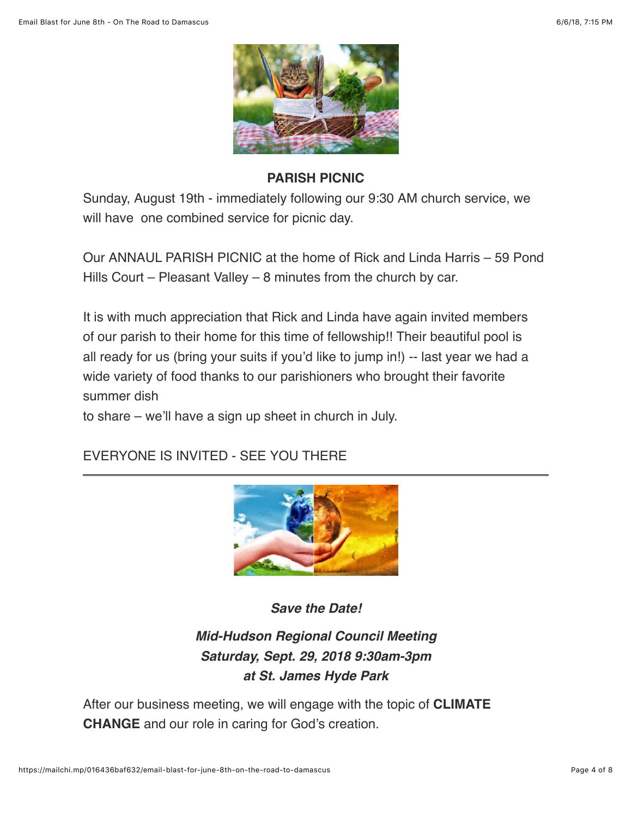

### **PARISH PICNIC**

Sunday, August 19th - immediately following our 9:30 AM church service, we will have one combined service for picnic day.

Our ANNAUL PARISH PICNIC at the home of Rick and Linda Harris – 59 Pond Hills Court – Pleasant Valley – 8 minutes from the church by car.

It is with much appreciation that Rick and Linda have again invited members of our parish to their home for this time of fellowship!! Their beautiful pool is all ready for us (bring your suits if you'd like to jump in!) -- last year we had a wide variety of food thanks to our parishioners who brought their favorite summer dish

to share – we'll have a sign up sheet in church in July.

EVERYONE IS INVITED - SEE YOU THERE



*Save the Date!*

## *Mid-Hudson Regional Council Meeting Saturday, Sept. 29, 2018 9:30am-3pm at St. James Hyde Park*

After our business meeting, we will engage with the topic of **CLIMATE CHANGE** and our role in caring for God's creation.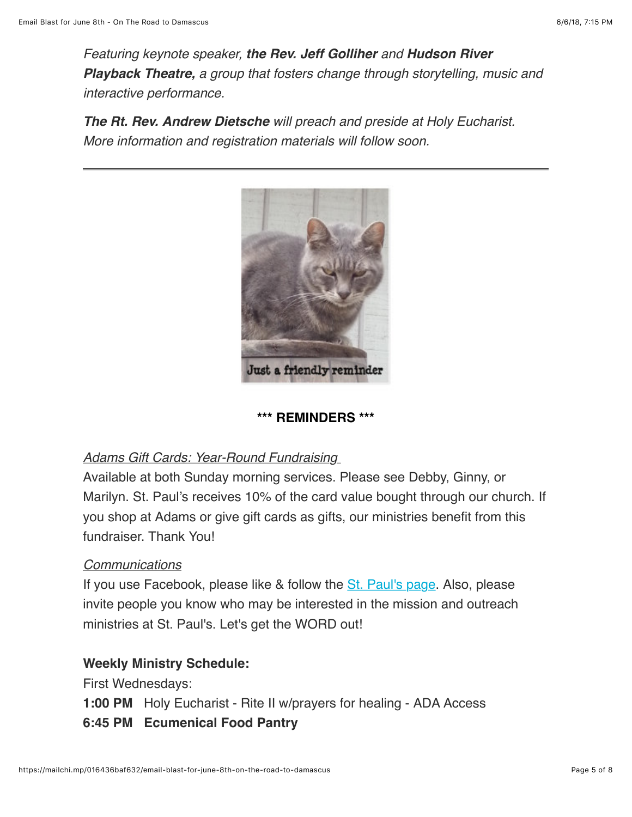*Featuring keynote speaker, the Rev. Jeff Golliher and Hudson River Playback Theatre, a group that fosters change through storytelling, music and interactive performance.*

*The Rt. Rev. Andrew Dietsche will preach and preside at Holy Eucharist. More information and registration materials will follow soon.*



#### **\*\*\* REMINDERS \*\*\***

#### *Adams Gift Cards: Year-Round Fundraising*

Available at both Sunday morning services. Please see Debby, Ginny, or Marilyn. St. Paul's receives 10% of the card value bought through our church. If you shop at Adams or give gift cards as gifts, our ministries benefit from this fundraiser. Thank You!

#### *Communications*

If you use Facebook, please like & follow the [St. Paul's page](https://www.facebook.com/stpaulspleasantvalley/?ref=bookmarks). Also, please invite people you know who may be interested in the mission and outreach ministries at St. Paul's. Let's get the WORD out!

### **Weekly Ministry Schedule:**

First Wednesdays:

- **1:00 PM** Holy Eucharist Rite II w/prayers for healing ADA Access
- **6:45 PM Ecumenical Food Pantry**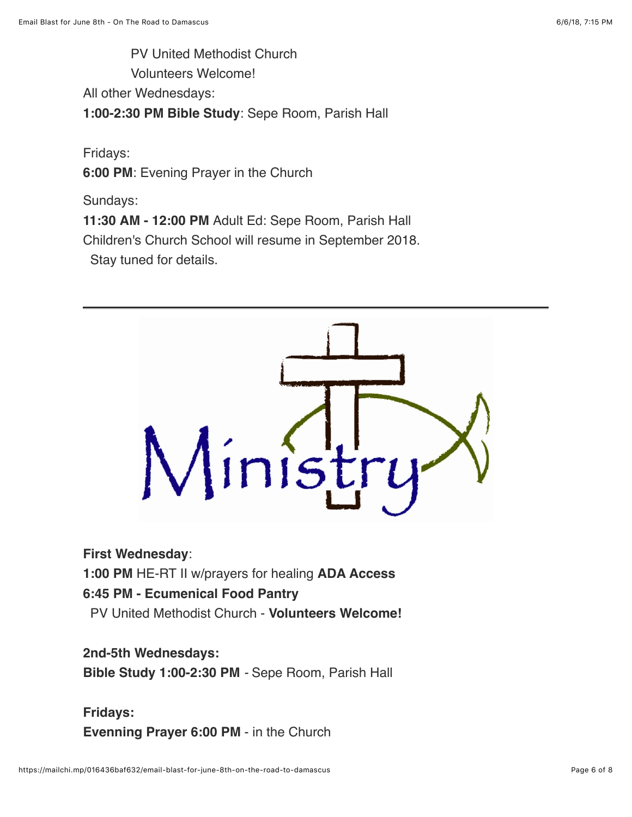PV United Methodist Church

Volunteers Welcome!

All other Wednesdays:

**1:00-2:30 PM Bible Study**: Sepe Room, Parish Hall

Fridays:

**6:00 PM**: Evening Prayer in the Church

Sundays:

**11:30 AM - 12:00 PM** Adult Ed: Sepe Room, Parish Hall Children's Church School will resume in September 2018. Stay tuned for details.



**First Wednesday**:

**1:00 PM** HE-RT II w/prayers for healing **ADA Access**

## **6:45 PM - Ecumenical Food Pantry**

PV United Methodist Church - **Volunteers Welcome!**

#### **2nd-5th Wednesdays:**

**Bible Study 1:00-2:30 PM** *-* Sepe Room, Parish Hall

## **Fridays: Evenning Prayer 6:00 PM** - in the Church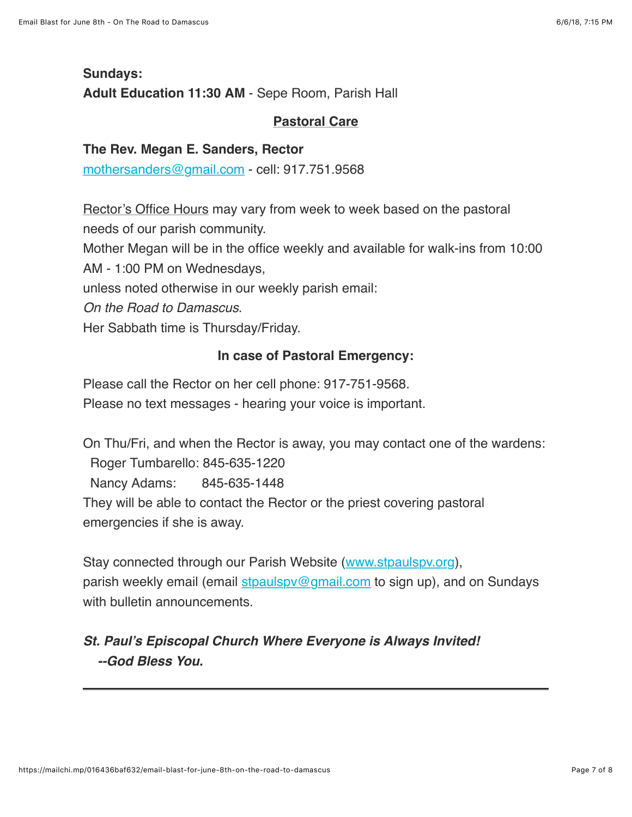## **Sundays: Adult Education 11:30 AM** - Sepe Room, Parish Hall

#### **Pastoral Care**

#### **The Rev. Megan E. Sanders, Rector**

[mothersanders@gmail.com](mailto:mothersanders@gmail.com) - cell: 917.751.9568

Rector's Office Hours may vary from week to week based on the pastoral needs of our parish community.

Mother Megan will be in the office weekly and available for walk-ins from 10:00

AM - 1:00 PM on Wednesdays,

unless noted otherwise in our weekly parish email:

*On the Road to Damascus*.

Her Sabbath time is Thursday/Friday.

#### **In case of Pastoral Emergency:**

Please call the Rector on her cell phone: 917-751-9568.

Please no text messages - hearing your voice is important.

On Thu/Fri, and when the Rector is away, you may contact one of the wardens: Roger Tumbarello: 845-635-1220 Nancy Adams: 845-635-1448 They will be able to contact the Rector or the priest covering pastoral emergencies if she is away.

Stay connected through our Parish Website ([www.stpaulspv.org\)](http://www.stpaulspv.org/), parish weekly email (email stpaulspy@gmail.com to sign up), and on Sundays with bulletin announcements.

## *St. Paul's Episcopal Church Where Everyone is Always Invited! --God Bless You.*